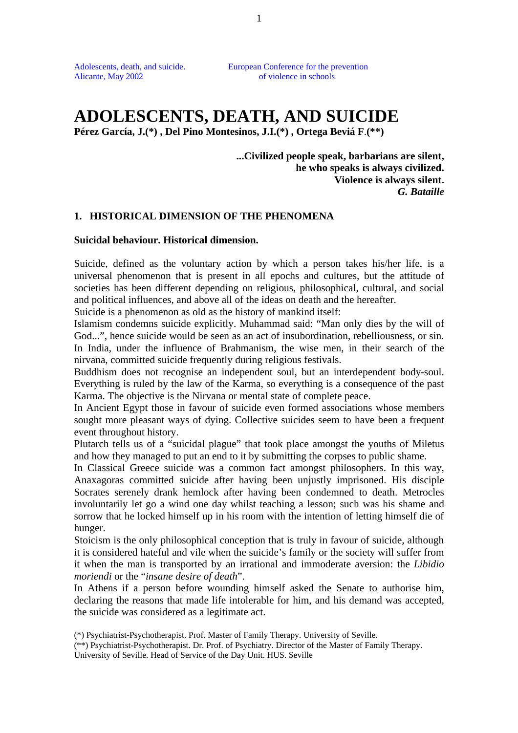Alicante, May 2002 of violence in schools

Adolescents, death, and suicide. European Conference for the prevention

# **ADOLESCENTS, DEATH, AND SUICIDE**

**Pérez García, J.(\*) , Del Pino Montesinos, J.I.(\*) , Ortega Beviá F**.**(\*\*)**

**...Civilized people speak, barbarians are silent, he who speaks is always civilized. Violence is always silent.** *G. Bataille*

#### **1. HISTORICAL DIMENSION OF THE PHENOMENA**

#### **Suicidal behaviour. Historical dimension.**

Suicide, defined as the voluntary action by which a person takes his/her life, is a universal phenomenon that is present in all epochs and cultures, but the attitude of societies has been different depending on religious, philosophical, cultural, and social and political influences, and above all of the ideas on death and the hereafter.

Suicide is a phenomenon as old as the history of mankind itself:

Islamism condemns suicide explicitly. Muhammad said: "Man only dies by the will of God...", hence suicide would be seen as an act of insubordination, rebelliousness, or sin. In India, under the influence of Brahmanism, the wise men, in their search of the nirvana, committed suicide frequently during religious festivals.

Buddhism does not recognise an independent soul, but an interdependent body-soul. Everything is ruled by the law of the Karma, so everything is a consequence of the past Karma. The objective is the Nirvana or mental state of complete peace.

In Ancient Egypt those in favour of suicide even formed associations whose members sought more pleasant ways of dying. Collective suicides seem to have been a frequent event throughout history.

Plutarch tells us of a "suicidal plague" that took place amongst the youths of Miletus and how they managed to put an end to it by submitting the corpses to public shame.

In Classical Greece suicide was a common fact amongst philosophers. In this way, Anaxagoras committed suicide after having been unjustly imprisoned. His disciple Socrates serenely drank hemlock after having been condemned to death. Metrocles involuntarily let go a wind one day whilst teaching a lesson; such was his shame and sorrow that he locked himself up in his room with the intention of letting himself die of hunger.

Stoicism is the only philosophical conception that is truly in favour of suicide, although it is considered hateful and vile when the suicide's family or the society will suffer from it when the man is transported by an irrational and immoderate aversion: the *Libidio moriendi* or the "*insane desire of death*".

In Athens if a person before wounding himself asked the Senate to authorise him, declaring the reasons that made life intolerable for him, and his demand was accepted, the suicide was considered as a legitimate act.

<sup>(\*)</sup> Psychiatrist-Psychotherapist. Prof. Master of Family Therapy. University of Seville.

<sup>(\*\*)</sup> Psychiatrist-Psychotherapist. Dr. Prof. of Psychiatry. Director of the Master of Family Therapy. University of Seville. Head of Service of the Day Unit. HUS. Seville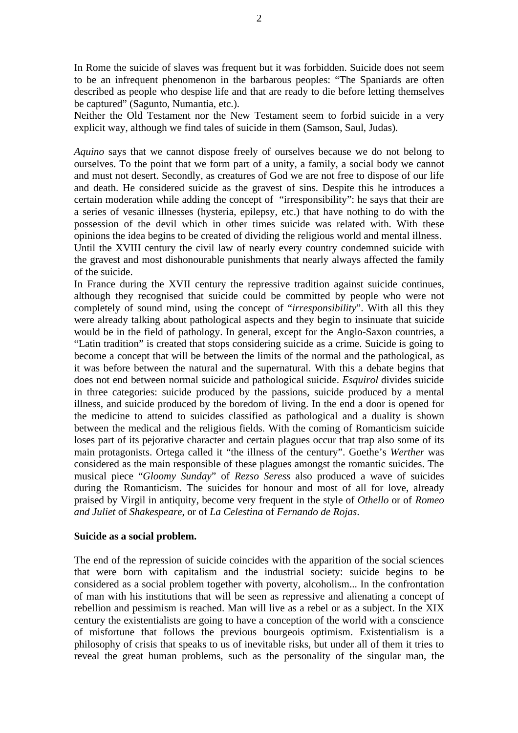In Rome the suicide of slaves was frequent but it was forbidden. Suicide does not seem to be an infrequent phenomenon in the barbarous peoples: "The Spaniards are often described as people who despise life and that are ready to die before letting themselves be captured" (Sagunto, Numantia, etc.).

Neither the Old Testament nor the New Testament seem to forbid suicide in a very explicit way, although we find tales of suicide in them (Samson, Saul, Judas).

*Aquino* says that we cannot dispose freely of ourselves because we do not belong to ourselves. To the point that we form part of a unity, a family, a social body we cannot and must not desert. Secondly, as creatures of God we are not free to dispose of our life and death. He considered suicide as the gravest of sins. Despite this he introduces a certain moderation while adding the concept of "irresponsibility": he says that their are a series of vesanic illnesses (hysteria, epilepsy, etc.) that have nothing to do with the possession of the devil which in other times suicide was related with. With these opinions the idea begins to be created of dividing the religious world and mental illness. Until the XVIII century the civil law of nearly every country condemned suicide with the gravest and most dishonourable punishments that nearly always affected the family of the suicide.

In France during the XVII century the repressive tradition against suicide continues, although they recognised that suicide could be committed by people who were not completely of sound mind, using the concept of "*irresponsibility*". With all this they were already talking about pathological aspects and they begin to insinuate that suicide would be in the field of pathology. In general, except for the Anglo-Saxon countries, a "Latin tradition" is created that stops considering suicide as a crime. Suicide is going to become a concept that will be between the limits of the normal and the pathological, as it was before between the natural and the supernatural. With this a debate begins that does not end between normal suicide and pathological suicide. *Esquirol* divides suicide in three categories: suicide produced by the passions, suicide produced by a mental illness, and suicide produced by the boredom of living. In the end a door is opened for the medicine to attend to suicides classified as pathological and a duality is shown between the medical and the religious fields. With the coming of Romanticism suicide loses part of its pejorative character and certain plagues occur that trap also some of its main protagonists. Ortega called it "the illness of the century". Goethe's *Werther* was considered as the main responsible of these plagues amongst the romantic suicides. The musical piece "*Gloomy Sunday*" of *Rezso Seress* also produced a wave of suicides during the Romanticism. The suicides for honour and most of all for love, already praised by Virgil in antiquity, become very frequent in the style of *Othello* or of *Romeo and Juliet* of *Shakespeare*, or of *La Celestina* of *Fernando de Rojas*.

#### **Suicide as a social problem.**

The end of the repression of suicide coincides with the apparition of the social sciences that were born with capitalism and the industrial society: suicide begins to be considered as a social problem together with poverty, alcoholism... In the confrontation of man with his institutions that will be seen as repressive and alienating a concept of rebellion and pessimism is reached. Man will live as a rebel or as a subject. In the XIX century the existentialists are going to have a conception of the world with a conscience of misfortune that follows the previous bourgeois optimism. Existentialism is a philosophy of crisis that speaks to us of inevitable risks, but under all of them it tries to reveal the great human problems, such as the personality of the singular man, the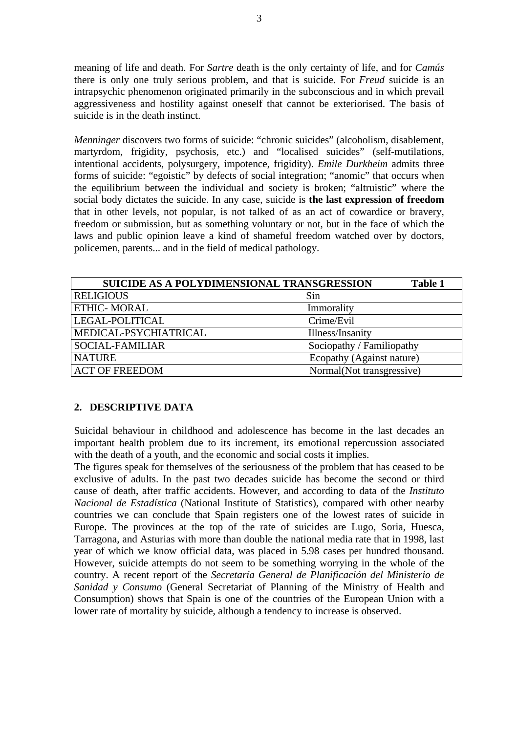meaning of life and death. For *Sartre* death is the only certainty of life, and for *Camús* there is only one truly serious problem, and that is suicide. For *Freud* suicide is an intrapsychic phenomenon originated primarily in the subconscious and in which prevail aggressiveness and hostility against oneself that cannot be exteriorised. The basis of suicide is in the death instinct.

*Menninger* discovers two forms of suicide: "chronic suicides" (alcoholism, disablement, martyrdom, frigidity, psychosis, etc.) and "localised suicides" (self-mutilations, intentional accidents, polysurgery, impotence, frigidity). *Emile Durkheim* admits three forms of suicide: "egoistic" by defects of social integration; "anomic" that occurs when the equilibrium between the individual and society is broken; "altruistic" where the social body dictates the suicide. In any case, suicide is **the last expression of freedom** that in other levels, not popular, is not talked of as an act of cowardice or bravery, freedom or submission, but as something voluntary or not, but in the face of which the laws and public opinion leave a kind of shameful freedom watched over by doctors, policemen, parents... and in the field of medical pathology.

|                        | SUICIDE AS A POLYDIMENSIONAL TRANSGRESSION | Table 1 |
|------------------------|--------------------------------------------|---------|
| <b>RELIGIOUS</b>       | Sin                                        |         |
| <b>ETHIC-MORAL</b>     | Immorality                                 |         |
| LEGAL-POLITICAL        | Crime/Evil                                 |         |
| MEDICAL-PSYCHIATRICAL  | Illness/Insanity                           |         |
| <b>SOCIAL-FAMILIAR</b> | Sociopathy / Familiopathy                  |         |
| <b>NATURE</b>          | Ecopathy (Against nature)                  |         |
| <b>ACT OF FREEDOM</b>  | Normal(Not transgressive)                  |         |

## **2. DESCRIPTIVE DATA**

Suicidal behaviour in childhood and adolescence has become in the last decades an important health problem due to its increment, its emotional repercussion associated with the death of a youth, and the economic and social costs it implies.

The figures speak for themselves of the seriousness of the problem that has ceased to be exclusive of adults. In the past two decades suicide has become the second or third cause of death, after traffic accidents. However, and according to data of the *Instituto Nacional de Estadística* (National Institute of Statistics), compared with other nearby countries we can conclude that Spain registers one of the lowest rates of suicide in Europe. The provinces at the top of the rate of suicides are Lugo, Soria, Huesca, Tarragona, and Asturias with more than double the national media rate that in 1998, last year of which we know official data, was placed in 5.98 cases per hundred thousand. However, suicide attempts do not seem to be something worrying in the whole of the country. A recent report of the *Secretaría General de Planificación del Ministerio de Sanidad y Consumo* (General Secretariat of Planning of the Ministry of Health and Consumption) shows that Spain is one of the countries of the European Union with a lower rate of mortality by suicide, although a tendency to increase is observed.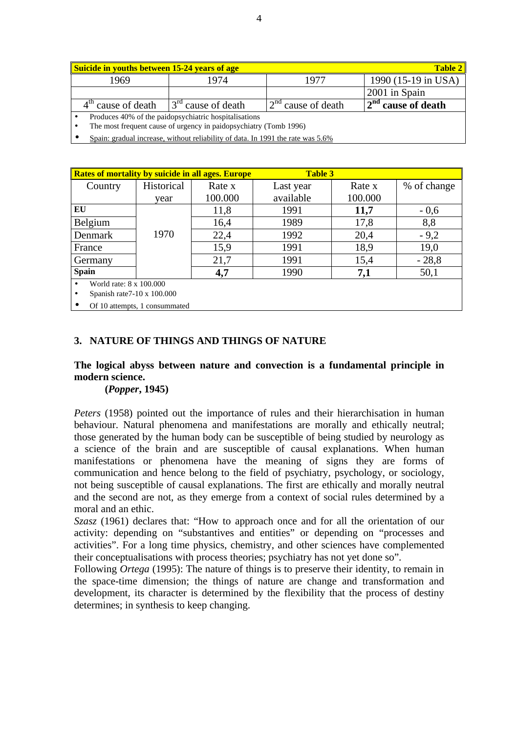| <b>Suicide in youths between 15-24 years of age</b><br><b>Table 2</b> |                         |                                        |                       |  |  |  |
|-----------------------------------------------------------------------|-------------------------|----------------------------------------|-----------------------|--|--|--|
| 1969                                                                  | 1974                    | 1977                                   | 1990 (15-19 in USA)   |  |  |  |
|                                                                       |                         |                                        | 2001 in Spain         |  |  |  |
| $4th$ cause of death                                                  | $3^{rd}$ cause of death | $\cap$ <sup>nd</sup><br>cause of death | $12nd$ cause of death |  |  |  |
| Produces 40% of the paidopsychiatric hospitalisations                 |                         |                                        |                       |  |  |  |
| The most frequent cause of urgency in paidopsychiatry (Tomb 1996)     |                         |                                        |                       |  |  |  |

• Spain: gradual increase, without reliability of data. In 1991 the rate was 5.6%

| Rates of mortality by suicide in all ages. Europe                          |            |         | <b>Table 3</b> |         |             |  |  |
|----------------------------------------------------------------------------|------------|---------|----------------|---------|-------------|--|--|
| Country                                                                    | Historical | Rate x  | Last year      | Rate x  | % of change |  |  |
|                                                                            | year       | 100.000 | available      | 100.000 |             |  |  |
| EU                                                                         |            | 11,8    | 1991           | 11,7    | $-0,6$      |  |  |
| Belgium                                                                    |            | 16,4    | 1989           | 17,8    | 8,8         |  |  |
| Denmark                                                                    | 1970       | 22,4    | 1992           | 20,4    | $-9,2$      |  |  |
| France                                                                     |            | 15,9    | 1991           | 18,9    | 19,0        |  |  |
| Germany                                                                    |            | 21,7    | 1991           | 15,4    | $-28,8$     |  |  |
| <b>Spain</b>                                                               |            | 4,7     | 1990           | 7,1     | 50,1        |  |  |
| World rate: 8 x 100,000<br>Spanish rate $7-10 \times 100.000$<br>$\bullet$ |            |         |                |         |             |  |  |
| Of 10 attempts, 1 consummated                                              |            |         |                |         |             |  |  |

#### **3. NATURE OF THINGS AND THINGS OF NATURE**

## **The logical abyss between nature and convection is a fundamental principle in modern science.**

#### **(***Popper***, 1945)**

*Peters* (1958) pointed out the importance of rules and their hierarchisation in human behaviour. Natural phenomena and manifestations are morally and ethically neutral; those generated by the human body can be susceptible of being studied by neurology as a science of the brain and are susceptible of causal explanations. When human manifestations or phenomena have the meaning of signs they are forms of communication and hence belong to the field of psychiatry, psychology, or sociology, not being susceptible of causal explanations. The first are ethically and morally neutral and the second are not, as they emerge from a context of social rules determined by a moral and an ethic.

*Szasz* (1961) declares that: "How to approach once and for all the orientation of our activity: depending on "substantives and entities" or depending on "processes and activities". For a long time physics, chemistry, and other sciences have complemented their conceptualisations with process theories; psychiatry has not yet done so".

Following *Ortega* (1995): The nature of things is to preserve their identity, to remain in the space-time dimension; the things of nature are change and transformation and development, its character is determined by the flexibility that the process of destiny determines; in synthesis to keep changing.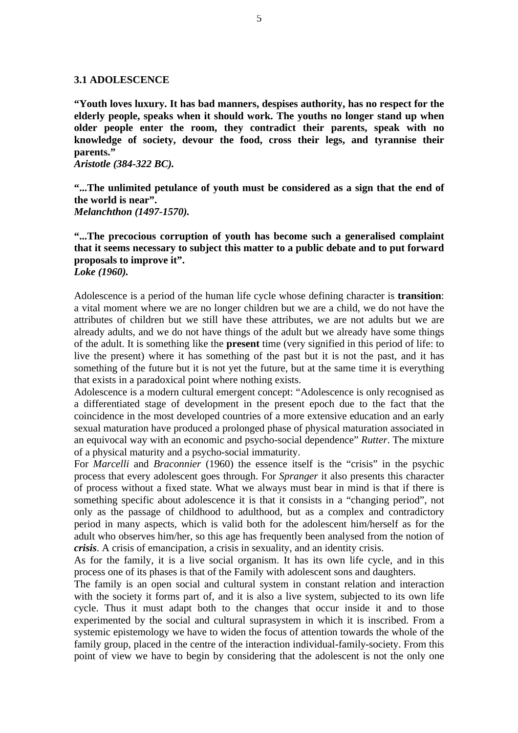#### **3.1 ADOLESCENCE**

**"Youth loves luxury. It has bad manners, despises authority, has no respect for the elderly people, speaks when it should work. The youths no longer stand up when older people enter the room, they contradict their parents, speak with no knowledge of society, devour the food, cross their legs, and tyrannise their parents."**

*Aristotle (384-322 BC).*

**"...The unlimited petulance of youth must be considered as a sign that the end of the world is near".** *Melanchthon (1497-1570).*

**"...The precocious corruption of youth has become such a generalised complaint that it seems necessary to subject this matter to a public debate and to put forward proposals to improve it".** *Loke (1960).*

Adolescence is a period of the human life cycle whose defining character is **transition**: a vital moment where we are no longer children but we are a child, we do not have the attributes of children but we still have these attributes, we are not adults but we are already adults, and we do not have things of the adult but we already have some things of the adult. It is something like the **present** time (very signified in this period of life: to live the present) where it has something of the past but it is not the past, and it has something of the future but it is not yet the future, but at the same time it is everything that exists in a paradoxical point where nothing exists.

Adolescence is a modern cultural emergent concept: "Adolescence is only recognised as a differentiated stage of development in the present epoch due to the fact that the coincidence in the most developed countries of a more extensive education and an early sexual maturation have produced a prolonged phase of physical maturation associated in an equivocal way with an economic and psycho-social dependence" *Rutter*. The mixture of a physical maturity and a psycho-social immaturity.

For *Marcelli* and *Braconnier* (1960) the essence itself is the "crisis" in the psychic process that every adolescent goes through. For *Spranger* it also presents this character of process without a fixed state. What we always must bear in mind is that if there is something specific about adolescence it is that it consists in a "changing period", not only as the passage of childhood to adulthood, but as a complex and contradictory period in many aspects, which is valid both for the adolescent him/herself as for the adult who observes him/her, so this age has frequently been analysed from the notion of *crisis*. A crisis of emancipation, a crisis in sexuality, and an identity crisis.

As for the family, it is a live social organism. It has its own life cycle, and in this process one of its phases is that of the Family with adolescent sons and daughters.

The family is an open social and cultural system in constant relation and interaction with the society it forms part of, and it is also a live system, subjected to its own life cycle. Thus it must adapt both to the changes that occur inside it and to those experimented by the social and cultural suprasystem in which it is inscribed. From a systemic epistemology we have to widen the focus of attention towards the whole of the family group, placed in the centre of the interaction individual-family-society. From this point of view we have to begin by considering that the adolescent is not the only one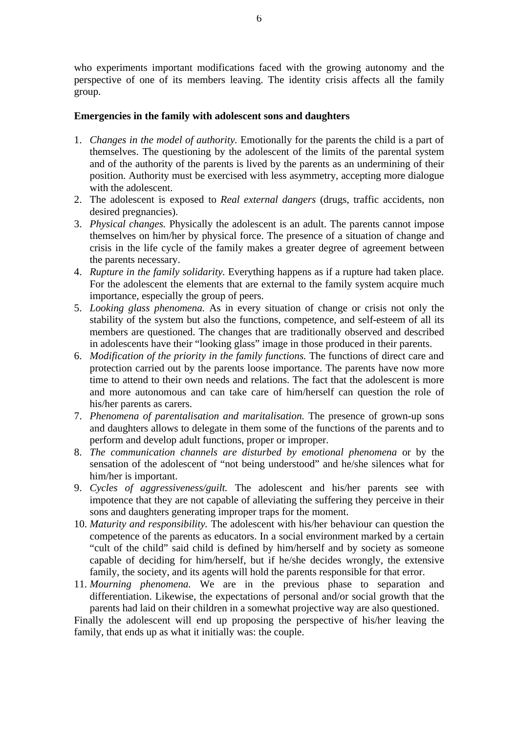who experiments important modifications faced with the growing autonomy and the perspective of one of its members leaving. The identity crisis affects all the family group.

#### **Emergencies in the family with adolescent sons and daughters**

- 1. *Changes in the model of authority.* Emotionally for the parents the child is a part of themselves. The questioning by the adolescent of the limits of the parental system and of the authority of the parents is lived by the parents as an undermining of their position. Authority must be exercised with less asymmetry, accepting more dialogue with the adolescent.
- 2. The adolescent is exposed to *Real external dangers* (drugs, traffic accidents, non desired pregnancies).
- 3. *Physical changes.* Physically the adolescent is an adult. The parents cannot impose themselves on him/her by physical force. The presence of a situation of change and crisis in the life cycle of the family makes a greater degree of agreement between the parents necessary.
- 4. *Rupture in the family solidarity.* Everything happens as if a rupture had taken place. For the adolescent the elements that are external to the family system acquire much importance, especially the group of peers.
- 5. *Looking glass phenomena.* As in every situation of change or crisis not only the stability of the system but also the functions, competence, and self-esteem of all its members are questioned. The changes that are traditionally observed and described in adolescents have their "looking glass" image in those produced in their parents.
- 6. *Modification of the priority in the family functions.* The functions of direct care and protection carried out by the parents loose importance. The parents have now more time to attend to their own needs and relations. The fact that the adolescent is more and more autonomous and can take care of him/herself can question the role of his/her parents as carers.
- 7. *Phenomena of parentalisation and maritalisation.* The presence of grown-up sons and daughters allows to delegate in them some of the functions of the parents and to perform and develop adult functions, proper or improper.
- 8. *The communication channels are disturbed by emotional phenomena* or by the sensation of the adolescent of "not being understood" and he/she silences what for him/her is important.
- 9. *Cycles of aggressiveness/guilt.* The adolescent and his/her parents see with impotence that they are not capable of alleviating the suffering they perceive in their sons and daughters generating improper traps for the moment.
- 10. *Maturity and responsibility.* The adolescent with his/her behaviour can question the competence of the parents as educators. In a social environment marked by a certain "cult of the child" said child is defined by him/herself and by society as someone capable of deciding for him/herself, but if he/she decides wrongly, the extensive family, the society, and its agents will hold the parents responsible for that error.
- 11. *Mourning phenomena.* We are in the previous phase to separation and differentiation. Likewise, the expectations of personal and/or social growth that the parents had laid on their children in a somewhat projective way are also questioned.

Finally the adolescent will end up proposing the perspective of his/her leaving the family, that ends up as what it initially was: the couple.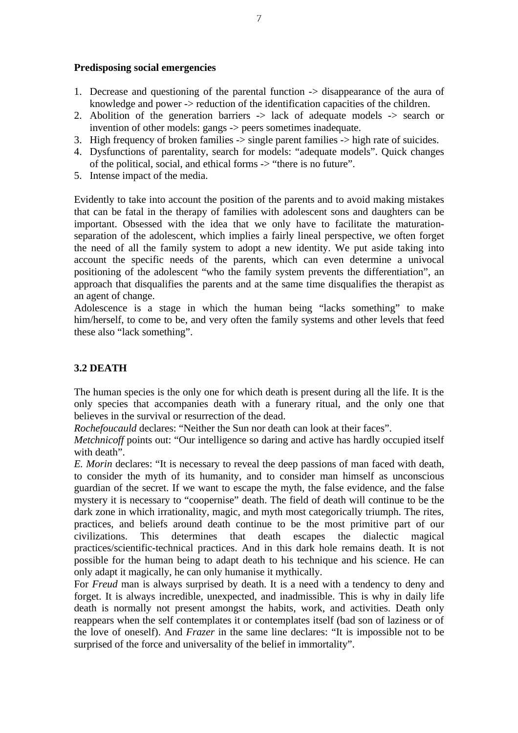#### **Predisposing social emergencies**

- 1. Decrease and questioning of the parental function -> disappearance of the aura of knowledge and power -> reduction of the identification capacities of the children.
- 2. Abolition of the generation barriers -> lack of adequate models -> search or invention of other models: gangs -> peers sometimes inadequate.
- 3. High frequency of broken families -> single parent families -> high rate of suicides.
- 4. Dysfunctions of parentality, search for models: "adequate models". Quick changes of the political, social, and ethical forms -> "there is no future".
- 5. Intense impact of the media.

Evidently to take into account the position of the parents and to avoid making mistakes that can be fatal in the therapy of families with adolescent sons and daughters can be important. Obsessed with the idea that we only have to facilitate the maturationseparation of the adolescent, which implies a fairly lineal perspective, we often forget the need of all the family system to adopt a new identity. We put aside taking into account the specific needs of the parents, which can even determine a univocal positioning of the adolescent "who the family system prevents the differentiation", an approach that disqualifies the parents and at the same time disqualifies the therapist as an agent of change.

Adolescence is a stage in which the human being "lacks something" to make him/herself, to come to be, and very often the family systems and other levels that feed these also "lack something".

## **3.2 DEATH**

The human species is the only one for which death is present during all the life. It is the only species that accompanies death with a funerary ritual, and the only one that believes in the survival or resurrection of the dead.

*Rochefoucauld* declares: "Neither the Sun nor death can look at their faces".

*Metchnicoff* points out: "Our intelligence so daring and active has hardly occupied itself with death".

*E. Morin* declares: "It is necessary to reveal the deep passions of man faced with death, to consider the myth of its humanity, and to consider man himself as unconscious guardian of the secret. If we want to escape the myth, the false evidence, and the false mystery it is necessary to "coopernise" death. The field of death will continue to be the dark zone in which irrationality, magic, and myth most categorically triumph. The rites, practices, and beliefs around death continue to be the most primitive part of our civilizations. This determines that death escapes the dialectic magical practices/scientific-technical practices. And in this dark hole remains death. It is not possible for the human being to adapt death to his technique and his science. He can only adapt it magically, he can only humanise it mythically.

For *Freud* man is always surprised by death. It is a need with a tendency to deny and forget. It is always incredible, unexpected, and inadmissible. This is why in daily life death is normally not present amongst the habits, work, and activities. Death only reappears when the self contemplates it or contemplates itself (bad son of laziness or of the love of oneself). And *Frazer* in the same line declares: "It is impossible not to be surprised of the force and universality of the belief in immortality".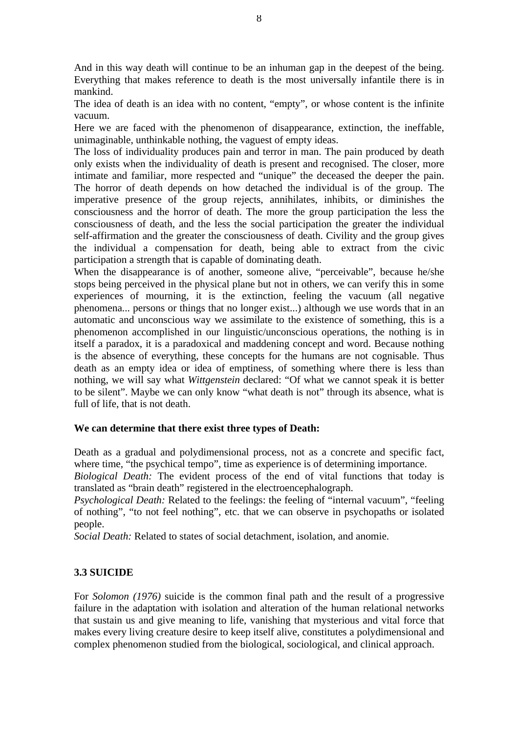And in this way death will continue to be an inhuman gap in the deepest of the being. Everything that makes reference to death is the most universally infantile there is in mankind.

The idea of death is an idea with no content, "empty", or whose content is the infinite vacuum.

Here we are faced with the phenomenon of disappearance, extinction, the ineffable, unimaginable, unthinkable nothing, the vaguest of empty ideas.

The loss of individuality produces pain and terror in man. The pain produced by death only exists when the individuality of death is present and recognised. The closer, more intimate and familiar, more respected and "unique" the deceased the deeper the pain. The horror of death depends on how detached the individual is of the group. The imperative presence of the group rejects, annihilates, inhibits, or diminishes the consciousness and the horror of death. The more the group participation the less the consciousness of death, and the less the social participation the greater the individual self-affirmation and the greater the consciousness of death. Civility and the group gives the individual a compensation for death, being able to extract from the civic participation a strength that is capable of dominating death.

When the disappearance is of another, someone alive, "perceivable", because he/she stops being perceived in the physical plane but not in others, we can verify this in some experiences of mourning, it is the extinction, feeling the vacuum (all negative phenomena... persons or things that no longer exist...) although we use words that in an automatic and unconscious way we assimilate to the existence of something, this is a phenomenon accomplished in our linguistic/unconscious operations, the nothing is in itself a paradox, it is a paradoxical and maddening concept and word. Because nothing is the absence of everything, these concepts for the humans are not cognisable. Thus death as an empty idea or idea of emptiness, of something where there is less than nothing, we will say what *Wittgenstein* declared: "Of what we cannot speak it is better to be silent". Maybe we can only know "what death is not" through its absence, what is full of life, that is not death.

#### **We can determine that there exist three types of Death:**

Death as a gradual and polydimensional process, not as a concrete and specific fact, where time, "the psychical tempo", time as experience is of determining importance.

*Biological Death:* The evident process of the end of vital functions that today is translated as "brain death" registered in the electroencephalograph.

*Psychological Death:* Related to the feelings: the feeling of "internal vacuum", "feeling of nothing", "to not feel nothing", etc. that we can observe in psychopaths or isolated people.

*Social Death:* Related to states of social detachment, isolation, and anomie.

## **3.3 SUICIDE**

For *Solomon (1976)* suicide is the common final path and the result of a progressive failure in the adaptation with isolation and alteration of the human relational networks that sustain us and give meaning to life, vanishing that mysterious and vital force that makes every living creature desire to keep itself alive, constitutes a polydimensional and complex phenomenon studied from the biological, sociological, and clinical approach.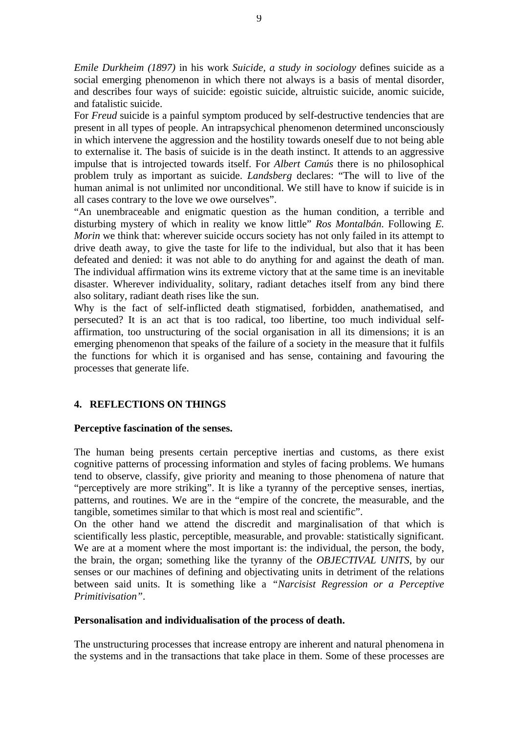*Emile Durkheim (1897)* in his work *Suicide, a study in sociology* defines suicide as a social emerging phenomenon in which there not always is a basis of mental disorder, and describes four ways of suicide: egoistic suicide, altruistic suicide, anomic suicide, and fatalistic suicide.

For *Freud* suicide is a painful symptom produced by self-destructive tendencies that are present in all types of people. An intrapsychical phenomenon determined unconsciously in which intervene the aggression and the hostility towards oneself due to not being able to externalise it. The basis of suicide is in the death instinct. It attends to an aggressive impulse that is introjected towards itself. For *Albert Camús* there is no philosophical problem truly as important as suicide. *Landsberg* declares: "The will to live of the human animal is not unlimited nor unconditional. We still have to know if suicide is in all cases contrary to the love we owe ourselves".

"An unembraceable and enigmatic question as the human condition, a terrible and disturbing mystery of which in reality we know little" *Ros Montalbán*. Following *E. Morin* we think that: wherever suicide occurs society has not only failed in its attempt to drive death away, to give the taste for life to the individual, but also that it has been defeated and denied: it was not able to do anything for and against the death of man. The individual affirmation wins its extreme victory that at the same time is an inevitable disaster. Wherever individuality, solitary, radiant detaches itself from any bind there also solitary, radiant death rises like the sun.

Why is the fact of self-inflicted death stigmatised, forbidden, anathematised, and persecuted? It is an act that is too radical, too libertine, too much individual selfaffirmation, too unstructuring of the social organisation in all its dimensions; it is an emerging phenomenon that speaks of the failure of a society in the measure that it fulfils the functions for which it is organised and has sense, containing and favouring the processes that generate life.

## **4. REFLECTIONS ON THINGS**

#### **Perceptive fascination of the senses.**

The human being presents certain perceptive inertias and customs, as there exist cognitive patterns of processing information and styles of facing problems. We humans tend to observe, classify, give priority and meaning to those phenomena of nature that "perceptively are more striking". It is like a tyranny of the perceptive senses, inertias, patterns, and routines. We are in the "empire of the concrete, the measurable, and the tangible, sometimes similar to that which is most real and scientific".

On the other hand we attend the discredit and marginalisation of that which is scientifically less plastic, perceptible, measurable, and provable: statistically significant. We are at a moment where the most important is: the individual, the person, the body, the brain, the organ; something like the tyranny of the *OBJECTIVAL UNITS*, by our senses or our machines of defining and objectivating units in detriment of the relations between said units. It is something like a *"Narcisist Regression or a Perceptive Primitivisation"*.

#### **Personalisation and individualisation of the process of death.**

The unstructuring processes that increase entropy are inherent and natural phenomena in the systems and in the transactions that take place in them. Some of these processes are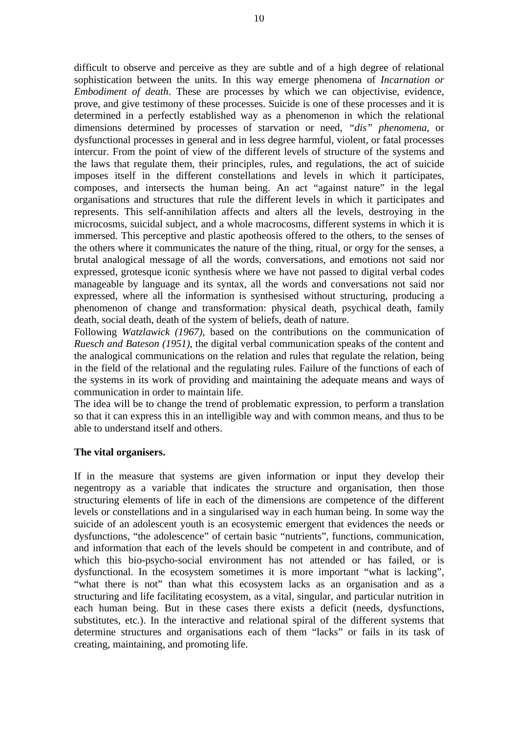difficult to observe and perceive as they are subtle and of a high degree of relational sophistication between the units. In this way emerge phenomena of *Incarnation or Embodiment of death*. These are processes by which we can objectivise, evidence, prove, and give testimony of these processes. Suicide is one of these processes and it is determined in a perfectly established way as a phenomenon in which the relational dimensions determined by processes of starvation or need, *"dis" phenomena*, or dysfunctional processes in general and in less degree harmful, violent, or fatal processes intercur. From the point of view of the different levels of structure of the systems and the laws that regulate them, their principles, rules, and regulations, the act of suicide imposes itself in the different constellations and levels in which it participates, composes, and intersects the human being. An act "against nature" in the legal organisations and structures that rule the different levels in which it participates and represents. This self-annihilation affects and alters all the levels, destroying in the microcosms, suicidal subject, and a whole macrocosms, different systems in which it is immersed. This perceptive and plastic apotheosis offered to the others, to the senses of the others where it communicates the nature of the thing, ritual, or orgy for the senses, a brutal analogical message of all the words, conversations, and emotions not said nor expressed, grotesque iconic synthesis where we have not passed to digital verbal codes manageable by language and its syntax, all the words and conversations not said nor expressed, where all the information is synthesised without structuring, producing a phenomenon of change and transformation: physical death, psychical death, family death, social death, death of the system of beliefs, death of nature.

Following *Watzlawick (1967),* based on the contributions on the communication of *Ruesch and Bateson (1951)*, the digital verbal communication speaks of the content and the analogical communications on the relation and rules that regulate the relation, being in the field of the relational and the regulating rules. Failure of the functions of each of the systems in its work of providing and maintaining the adequate means and ways of communication in order to maintain life.

The idea will be to change the trend of problematic expression, to perform a translation so that it can express this in an intelligible way and with common means, and thus to be able to understand itself and others.

#### **The vital organisers.**

If in the measure that systems are given information or input they develop their negentropy as a variable that indicates the structure and organisation, then those structuring elements of life in each of the dimensions are competence of the different levels or constellations and in a singularised way in each human being. In some way the suicide of an adolescent youth is an ecosystemic emergent that evidences the needs or dysfunctions, "the adolescence" of certain basic "nutrients", functions, communication, and information that each of the levels should be competent in and contribute, and of which this bio-psycho-social environment has not attended or has failed, or is dysfunctional. In the ecosystem sometimes it is more important "what is lacking", "what there is not" than what this ecosystem lacks as an organisation and as a structuring and life facilitating ecosystem, as a vital, singular, and particular nutrition in each human being. But in these cases there exists a deficit (needs, dysfunctions, substitutes, etc.). In the interactive and relational spiral of the different systems that determine structures and organisations each of them "lacks" or fails in its task of creating, maintaining, and promoting life.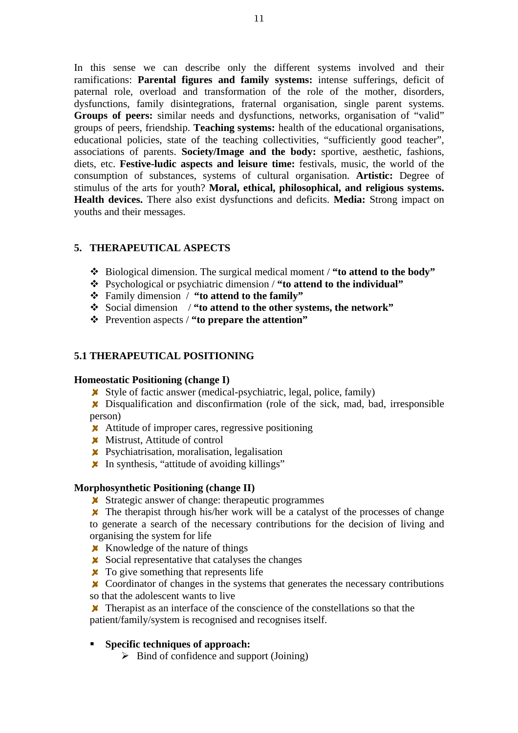In this sense we can describe only the different systems involved and their ramifications: **Parental figures and family systems:** intense sufferings, deficit of paternal role, overload and transformation of the role of the mother, disorders, dysfunctions, family disintegrations, fraternal organisation, single parent systems. **Groups of peers:** similar needs and dysfunctions, networks, organisation of "valid" groups of peers, friendship. **Teaching systems:** health of the educational organisations, educational policies, state of the teaching collectivities, "sufficiently good teacher", associations of parents. **Society/Image and the body:** sportive, aesthetic, fashions, diets, etc. **Festive-ludic aspects and leisure time:** festivals, music, the world of the consumption of substances, systems of cultural organisation. **Artistic:** Degree of stimulus of the arts for youth? **Moral, ethical, philosophical, and religious systems. Health devices.** There also exist dysfunctions and deficits. **Media:** Strong impact on youths and their messages.

## **5. THERAPEUTICAL ASPECTS**

- v Biological dimension. The surgical medical moment / **"to attend to the body"**
- v Psychological or psychiatric dimension / **"to attend to the individual"**
- v Family dimension / **"to attend to the family"**
- v Social dimension / **"to attend to the other systems, the network"**
- v Prevention aspects / **"to prepare the attention"**

## **5.1 THERAPEUTICAL POSITIONING**

#### **Homeostatic Positioning (change I)**

- $\boldsymbol{\times}$  Style of factic answer (medical-psychiatric, legal, police, family)
- Disqualification and disconfirmation (role of the sick, mad, bad, irresponsible person)
- **\*** Attitude of improper cares, regressive positioning
- **X** Mistrust, Attitude of control
- **X** Psychiatrisation, moralisation, legalisation
- **x** In synthesis, "attitude of avoiding killings"

#### **Morphosynthetic Positioning (change II)**

**X** Strategic answer of change: therapeutic programmes

 $\boldsymbol{\times}$  The therapist through his/her work will be a catalyst of the processes of change to generate a search of the necessary contributions for the decision of living and organising the system for life

- $\boldsymbol{\times}$  Knowledge of the nature of things
- $\boldsymbol{\times}$  Social representative that catalyses the changes
- $\boldsymbol{\times}$  To give something that represents life
- **X** Coordinator of changes in the systems that generates the necessary contributions so that the adolescent wants to live
- **X** Therapist as an interface of the conscience of the constellations so that the patient/family/system is recognised and recognises itself.

#### ß **Specific techniques of approach:**

 $\triangleright$  Bind of confidence and support (Joining)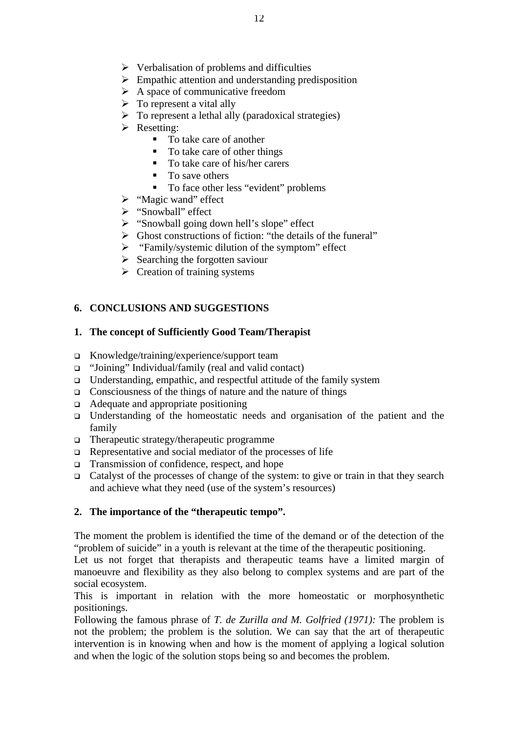- $\triangleright$  Verbalisation of problems and difficulties
- $\triangleright$  Empathic attention and understanding predisposition
- $\triangleright$  A space of communicative freedom
- $\triangleright$  To represent a vital ally
- $\triangleright$  To represent a lethal ally (paradoxical strategies)
- $\triangleright$  Resetting:
	- To take care of another
	- $\blacksquare$  To take care of other things
	- To take care of his/her carers
	- $\blacksquare$  To save others
	- To face other less "evident" problems
- $\triangleright$  "Magic wand" effect
- > "Snowball" effect
- $\triangleright$  "Snowball going down hell's slope" effect
- $\triangleright$  Ghost constructions of fiction: "the details of the funeral"
- $\triangleright$  "Family/systemic dilution of the symptom" effect
- $\triangleright$  Searching the forgotten saviour
- $\triangleright$  Creation of training systems

# **6. CONCLUSIONS AND SUGGESTIONS**

# **1. The concept of Sufficiently Good Team/Therapist**

- <sup>q</sup> Knowledge/training/experience/support team
- <sup>q</sup> "Joining" Individual/family (real and valid contact)
- <sup>q</sup> Understanding, empathic, and respectful attitude of the family system
- $\Box$  Consciousness of the things of nature and the nature of things
- <sup>q</sup> Adequate and appropriate positioning
- $\Box$  Understanding of the homeostatic needs and organisation of the patient and the family
- $\Box$  Therapeutic strategy/therapeutic programme
- $\Box$  Representative and social mediator of the processes of life
- <sup>q</sup> Transmission of confidence, respect, and hope
- <sup>q</sup> Catalyst of the processes of change of the system: to give or train in that they search and achieve what they need (use of the system's resources)

## **2. The importance of the "therapeutic tempo".**

The moment the problem is identified the time of the demand or of the detection of the "problem of suicide" in a youth is relevant at the time of the therapeutic positioning.

Let us not forget that therapists and therapeutic teams have a limited margin of manoeuvre and flexibility as they also belong to complex systems and are part of the social ecosystem.

This is important in relation with the more homeostatic or morphosynthetic positionings.

Following the famous phrase of *T. de Zurilla and M. Golfried (1971):* The problem is not the problem; the problem is the solution. We can say that the art of therapeutic intervention is in knowing when and how is the moment of applying a logical solution and when the logic of the solution stops being so and becomes the problem.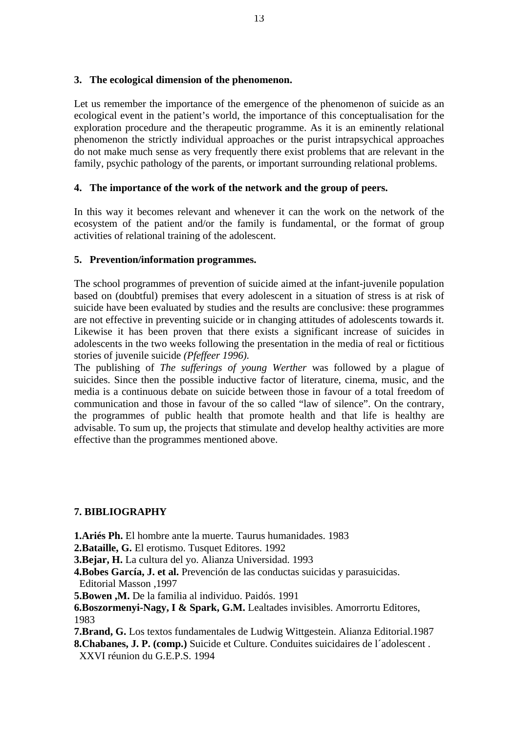#### **3. The ecological dimension of the phenomenon.**

Let us remember the importance of the emergence of the phenomenon of suicide as an ecological event in the patient's world, the importance of this conceptualisation for the exploration procedure and the therapeutic programme. As it is an eminently relational phenomenon the strictly individual approaches or the purist intrapsychical approaches do not make much sense as very frequently there exist problems that are relevant in the family, psychic pathology of the parents, or important surrounding relational problems.

## **4. The importance of the work of the network and the group of peers.**

In this way it becomes relevant and whenever it can the work on the network of the ecosystem of the patient and/or the family is fundamental, or the format of group activities of relational training of the adolescent.

## **5. Prevention/information programmes.**

The school programmes of prevention of suicide aimed at the infant-juvenile population based on (doubtful) premises that every adolescent in a situation of stress is at risk of suicide have been evaluated by studies and the results are conclusive: these programmes are not effective in preventing suicide or in changing attitudes of adolescents towards it. Likewise it has been proven that there exists a significant increase of suicides in adolescents in the two weeks following the presentation in the media of real or fictitious stories of juvenile suicide *(Pfeffeer 1996).*

The publishing of *The sufferings of young Werther* was followed by a plague of suicides. Since then the possible inductive factor of literature, cinema, music, and the media is a continuous debate on suicide between those in favour of a total freedom of communication and those in favour of the so called "law of silence". On the contrary, the programmes of public health that promote health and that life is healthy are advisable. To sum up, the projects that stimulate and develop healthy activities are more effective than the programmes mentioned above.

#### **7. BIBLIOGRAPHY**

**1.Ariés Ph.** El hombre ante la muerte. Taurus humanidades. 1983

**2.Bataille, G.** El erotismo. Tusquet Editores. 1992

**3.Bejar, H.** La cultura del yo. Alianza Universidad. 1993

**4.Bobes García, J. et al.** Prevención de las conductas suicidas y parasuicidas. Editorial Masson ,1997

**5.Bowen ,M.** De la familia al individuo. Paidós. 1991

**6.Boszormenyi-Nagy, I & Spark, G.M.** Lealtades invisibles. Amorrortu Editores, 1983

**7.Brand, G.** Los textos fundamentales de Ludwig Wittgestein. Alianza Editorial.1987 **8.Chabanes, J. P. (comp.)** Suicide et Culture. Conduites suicidaires de l´adolescent .

XXVI réunion du G.E.P.S. 1994